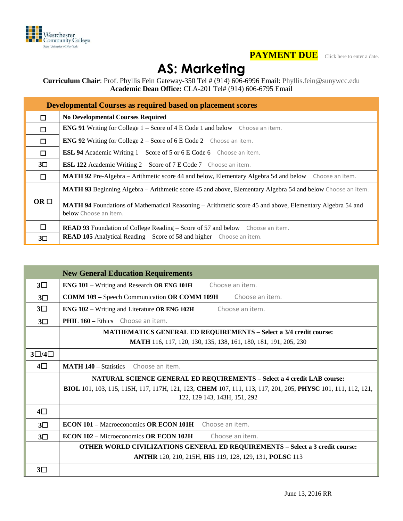



## **AS: Marketing**

**Curriculum Chair**: Prof. Phyllis Fein Gateway-350 Tel # (914) 606-6996 Email: [Phyllis.fein@sunywcc.edu](mailto:Phyllis.fein@sunywcc.edu) **Academic Dean Office:** CLA-201 Tel# (914) 606-6795 Email

| <b>Developmental Courses as required based on placement scores</b> |                                                                                                                                          |  |  |  |  |  |  |
|--------------------------------------------------------------------|------------------------------------------------------------------------------------------------------------------------------------------|--|--|--|--|--|--|
| П                                                                  | <b>No Developmental Courses Required</b>                                                                                                 |  |  |  |  |  |  |
| $\Box$                                                             | <b>ENG 91</b> Writing for College $1 -$ Score of 4 E Code 1 and below Choose an item.                                                    |  |  |  |  |  |  |
| $\Box$                                                             | <b>ENG 92</b> Writing for College $2 -$ Score of 6 E Code 2 Choose an item.                                                              |  |  |  |  |  |  |
| $\Box$                                                             | <b>ESL 94</b> Academic Writing 1 – Score of 5 or 6 E Code 6 Choose an item.                                                              |  |  |  |  |  |  |
| $3\square$                                                         | <b>ESL 122</b> Academic Writing 2 – Score of 7 E Code 7 Choose an item.                                                                  |  |  |  |  |  |  |
| П                                                                  | <b>MATH 92</b> Pre-Algebra – Arithmetic score 44 and below, Elementary Algebra 54 and below Choose an item.                              |  |  |  |  |  |  |
|                                                                    | <b>MATH 93</b> Beginning Algebra – Arithmetic score 45 and above, Elementary Algebra 54 and below Choose an item.                        |  |  |  |  |  |  |
| $OR \Box$                                                          | <b>MATH 94</b> Foundations of Mathematical Reasoning – Arithmetic score 45 and above, Elementary Algebra 54 and<br>below Choose an item. |  |  |  |  |  |  |
| $\Box$                                                             | <b>READ 93</b> Foundation of College Reading – Score of 57 and below Choose an item.                                                     |  |  |  |  |  |  |
| $3\square$                                                         | <b>READ 105</b> Analytical Reading – Score of 58 and higher Choose an item.                                                              |  |  |  |  |  |  |

|                     | <b>New General Education Requirements</b>                                                                                        |  |  |  |  |  |  |  |
|---------------------|----------------------------------------------------------------------------------------------------------------------------------|--|--|--|--|--|--|--|
| $3\square$          | ENG 101 - Writing and Research OR ENG 101H<br>Choose an item.                                                                    |  |  |  |  |  |  |  |
| $3\square$          | Choose an item.<br><b>COMM 109 - Speech Communication OR COMM 109H</b>                                                           |  |  |  |  |  |  |  |
| $3\square$          | <b>ENG 102 – Writing and Literature OR ENG 102H</b><br>Choose an item.                                                           |  |  |  |  |  |  |  |
| $3\square$          | <b>PHIL 160 - Ethics</b> Choose an item.                                                                                         |  |  |  |  |  |  |  |
|                     | <b>MATHEMATICS GENERAL ED REQUIREMENTS - Select a 3/4 credit course:</b>                                                         |  |  |  |  |  |  |  |
|                     | <b>MATH</b> 116, 117, 120, 130, 135, 138, 161, 180, 181, 191, 205, 230                                                           |  |  |  |  |  |  |  |
| $3\square/4\square$ |                                                                                                                                  |  |  |  |  |  |  |  |
| 4□                  | <b>MATH 140 - Statistics</b><br>Choose an item.                                                                                  |  |  |  |  |  |  |  |
|                     | <b>NATURAL SCIENCE GENERAL ED REQUIREMENTS - Select a 4 credit LAB course:</b>                                                   |  |  |  |  |  |  |  |
|                     | <b>BIOL</b> 101, 103, 115, 115H, 117, 117H, 121, 123, <b>CHEM</b> 107, 111, 113, 117, 201, 205, <b>PHYSC</b> 101, 111, 112, 121, |  |  |  |  |  |  |  |
|                     | 122, 129 143, 143H, 151, 292                                                                                                     |  |  |  |  |  |  |  |
| $4\square$          |                                                                                                                                  |  |  |  |  |  |  |  |
| $3\square$          | <b>ECON 101 – Macroeconomics OR ECON 101H</b> Choose an item.                                                                    |  |  |  |  |  |  |  |
| $3\square$          | <b>ECON 102 – Microeconomics OR ECON 102H</b><br>Choose an item.                                                                 |  |  |  |  |  |  |  |
|                     | <b>OTHER WORLD CIVILIZATIONS GENERAL ED REQUIREMENTS - Select a 3 credit course:</b>                                             |  |  |  |  |  |  |  |
|                     | ANTHR 120, 210, 215H, HIS 119, 128, 129, 131, POLSC 113                                                                          |  |  |  |  |  |  |  |
| $3\square$          |                                                                                                                                  |  |  |  |  |  |  |  |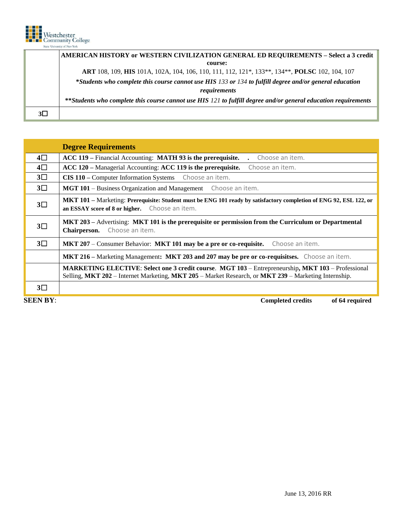

**Degree Requirements**

**AMERICAN HISTORY or WESTERN CIVILIZATION GENERAL ED REQUIREMENTS – Select a 3 credit course: ART** 108, 109, **HIS** 101A, 102A, 104, 106, 110, 111, 112, 121\*, 133\*\*, 134\*\*, **POLSC** 102, 104, 107 **\****Students who complete this course cannot use HIS 133 or 134 to fulfill degree and/or general education requirements* **\*\****Students who complete this course cannot use HIS 121 to fulfill degree and/or general education requirements* **3**☐

| $4\square$ | ACC 119 – Financial Accounting: MATH 93 is the prerequisite.<br>Choose an item.                                                                                                                            |  |  |  |  |  |
|------------|------------------------------------------------------------------------------------------------------------------------------------------------------------------------------------------------------------|--|--|--|--|--|
| $4\square$ | ACC 120 – Managerial Accounting: ACC 119 is the prerequisite.<br>Choose an item.                                                                                                                           |  |  |  |  |  |
| $3\square$ | CIS 110 – Computer Information Systems Choose an item.                                                                                                                                                     |  |  |  |  |  |
| $3\square$ | MGT 101 - Business Organization and Management Choose an item.                                                                                                                                             |  |  |  |  |  |
| $3\square$ | MKT 101 - Marketing: Prerequisite: Student must be ENG 101 ready by satisfactory completion of ENG 92, ESL 122, or<br>an ESSAY score of 8 or higher. Choose an item.                                       |  |  |  |  |  |
| $3\square$ | MKT 203 – Advertising: MKT 101 is the prerequisite or permission from the Curriculum or Departmental<br>Choose an item.<br>Chairperson.                                                                    |  |  |  |  |  |
| $3\square$ | MKT 207 – Consumer Behavior: MKT 101 may be a pre or co-requisite. Choose an item.                                                                                                                         |  |  |  |  |  |
|            | MKT 216 – Marketing Management: MKT 203 and 207 may be pre or co-requisities. Choose an item.                                                                                                              |  |  |  |  |  |
|            | MARKETING ELECTIVE: Select one 3 credit course. MGT 103 – Entrepreneurship, MKT 103 – Professional<br>Selling, MKT 202 – Internet Marketing, MKT 205 – Market Research, or MKT 239 – Marketing Internship. |  |  |  |  |  |
| $3\square$ |                                                                                                                                                                                                            |  |  |  |  |  |

**SEEN BY: Completed credits** of 64 required